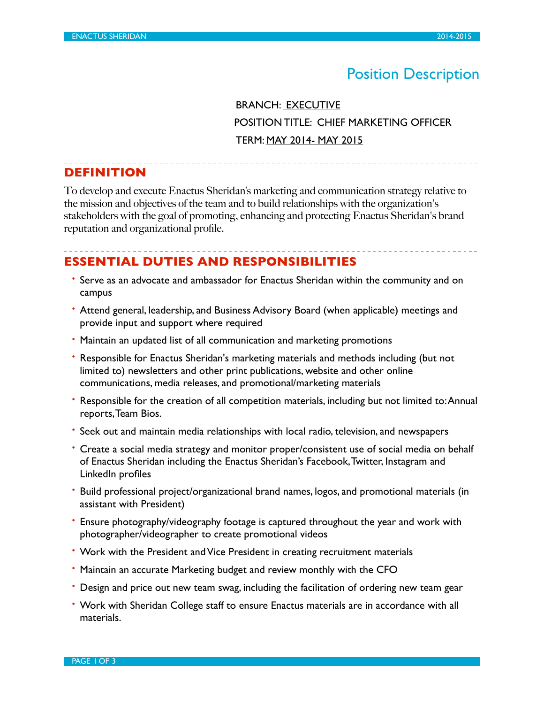# Position Description

 BRANCH: EXECUTIVE POSITION TITLE: CHIEF MARKETING OFFICER TERM: MAY 2014- MAY 2015

**DEFINITION**

To develop and execute Enactus Sheridan's marketing and communication strategy relative to the mission and objectives of the team and to build relationships with the organization's stakeholders with the goal of promoting, enhancing and protecting Enactus Sheridan's brand reputation and organizational profile.

## **ESSENTIAL DUTIES AND RESPONSIBILITIES**

- Serve as an advocate and ambassador for Enactus Sheridan within the community and on campus
- Attend general, leadership, and Business Advisory Board (when applicable) meetings and provide input and support where required
- Maintain an updated list of all communication and marketing promotions
- Responsible for Enactus Sheridan's marketing materials and methods including (but not limited to) newsletters and other print publications, website and other online communications, media releases, and promotional/marketing materials
- Responsible for the creation of all competition materials, including but not limited to: Annual reports, Team Bios.
- Seek out and maintain media relationships with local radio, television, and newspapers
- Create a social media strategy and monitor proper/consistent use of social media on behalf of Enactus Sheridan including the Enactus Sheridan's Facebook, Twitter, Instagram and LinkedIn profiles
- Build professional project/organizational brand names, logos, and promotional materials (in assistant with President)
- Ensure photography/videography footage is captured throughout the year and work with photographer/videographer to create promotional videos
- Work with the President and Vice President in creating recruitment materials
- Maintain an accurate Marketing budget and review monthly with the CFO
- Design and price out new team swag, including the facilitation of ordering new team gear
- Work with Sheridan College staff to ensure Enactus materials are in accordance with all materials.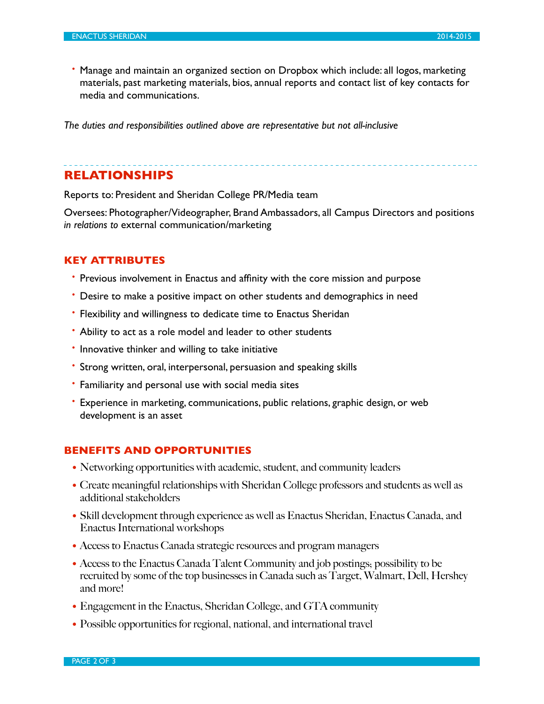• Manage and maintain an organized section on Dropbox which include: all logos, marketing materials, past marketing materials, bios, annual reports and contact list of key contacts for media and communications.

*The duties and responsibilities outlined above are representative but not all-inclusive*

# **RELATIONSHIPS**

Reports to: President and Sheridan College PR/Media team

Oversees: Photographer/Videographer, Brand Ambassadors, all Campus Directors and positions *in relations to* external communication/marketing

#### **KEY ATTRIBUTES**

- Previous involvement in Enactus and affinity with the core mission and purpose
- Desire to make a positive impact on other students and demographics in need
- Flexibility and willingness to dedicate time to Enactus Sheridan
- Ability to act as a role model and leader to other students
- Innovative thinker and willing to take initiative
- Strong written, oral, interpersonal, persuasion and speaking skills
- Familiarity and personal use with social media sites
- Experience in marketing, communications, public relations, graphic design, or web development is an asset

## **BENEFITS AND OPPORTUNITIES**

- Networking opportunities with academic, student, and community leaders
- Create meaningful relationships with Sheridan College professors and students as well as additional stakeholders
- Skill development through experience as well as Enactus Sheridan, Enactus Canada, and Enactus International workshops
- Access to Enactus Canada strategic resources and program managers
- Access to the Enactus Canada Talent Community and job postings; possibility to be recruited by some of the top businesses in Canada such as Target, Walmart, Dell, Hershey and more!
- Engagement in the Enactus, Sheridan College, and GTA community
- Possible opportunities for regional, national, and international travel